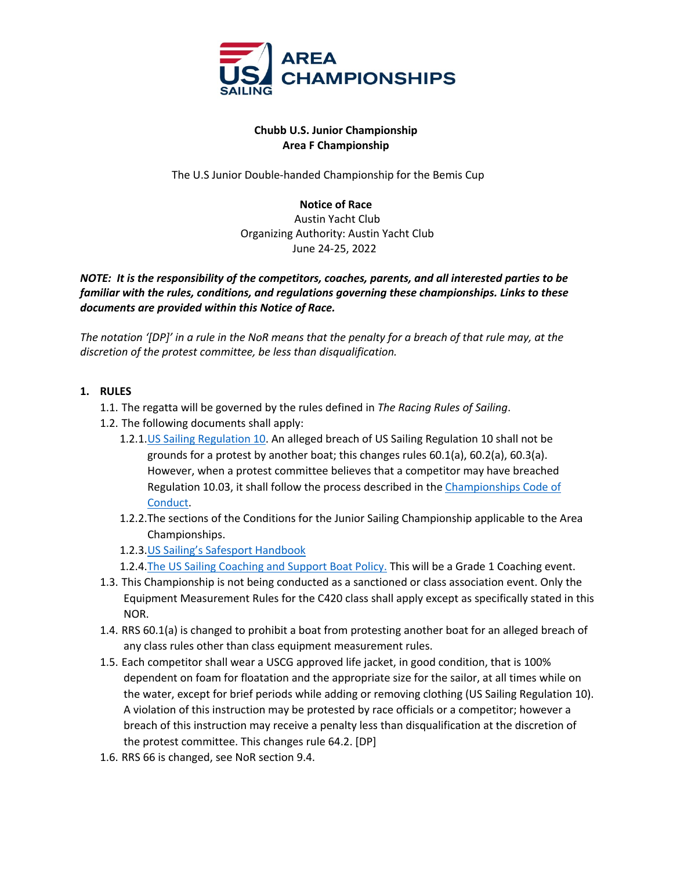

## **Chubb U.S. Junior Championship Area F Championship**

The U.S Junior Double-handed Championship for the Bemis Cup

**Notice of Race** Austin Yacht Club Organizing Authority: Austin Yacht Club June 24-25, 2022

*NOTE: It is the responsibility of the competitors, coaches, parents, and all interested parties to be familiar with the rules, conditions, and regulations governing these championships. Links to these documents are provided within this Notice of Race.* 

*The notation '[DP]' in a rule in the NoR means that the penalty for a breach of that rule may, at the discretion of the protest committee, be less than disqualification.*

## **1. RULES**

- 1.1. The regatta will be governed by the rules defined in *The Racing Rules of Sailing*.
- 1.2. The following documents shall apply:
	- 1.2.1.US Sailing Regulation 10. An alleged breach of US Sailing Regulation 10 shall not be grounds for a protest by another boat; this changes rules 60.1(a), 60.2(a), 60.3(a). However, when a protest committee believes that a competitor may have breached Regulation 10.03, it shall follow the process described in the Championships Code of Conduct.
	- 1.2.2.The sections of the Conditions for the Junior Sailing Championship applicable to the Area Championships.
	- 1.2.3.US Sailing's Safesport Handbook
	- 1.2.4. The US Sailing Coaching and Support Boat Policy. This will be a Grade 1 Coaching event.
- 1.3. This Championship is not being conducted as a sanctioned or class association event. Only the Equipment Measurement Rules for the C420 class shall apply except as specifically stated in this NOR.
- 1.4. RRS 60.1(a) is changed to prohibit a boat from protesting another boat for an alleged breach of any class rules other than class equipment measurement rules.
- 1.5. Each competitor shall wear a USCG approved life jacket, in good condition, that is 100% dependent on foam for floatation and the appropriate size for the sailor, at all times while on the water, except for brief periods while adding or removing clothing (US Sailing Regulation 10). A violation of this instruction may be protested by race officials or a competitor; however a breach of this instruction may receive a penalty less than disqualification at the discretion of the protest committee. This changes rule 64.2. [DP]
- 1.6. RRS 66 is changed, see NoR section 9.4.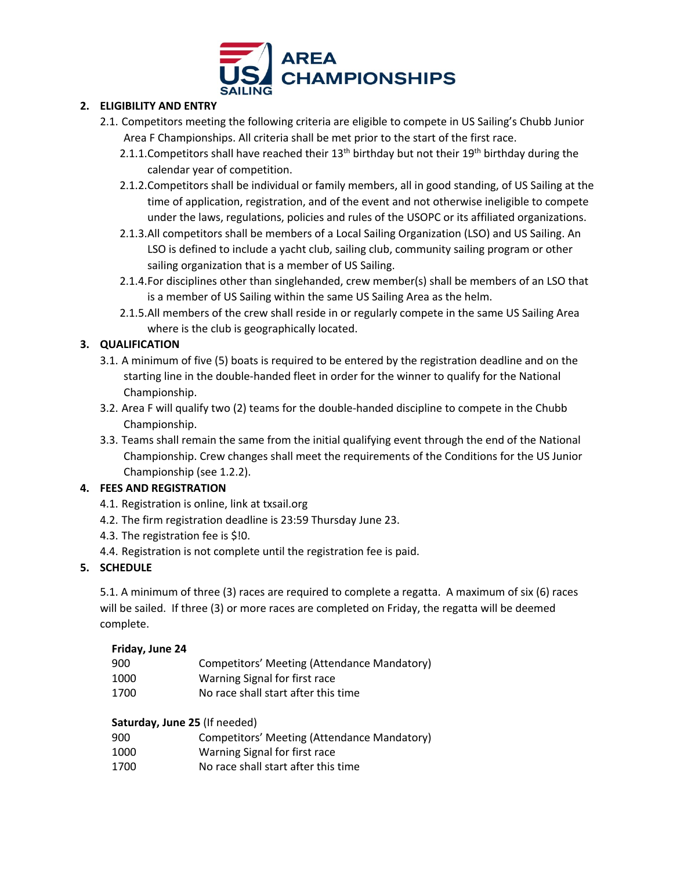

# **2. ELIGIBILITY AND ENTRY**

- 2.1. Competitors meeting the following criteria are eligible to compete in US Sailing's Chubb Junior Area F Championships. All criteria shall be met prior to the start of the first race.
	- 2.1.1. Competitors shall have reached their  $13<sup>th</sup>$  birthday but not their  $19<sup>th</sup>$  birthday during the calendar year of competition.
	- 2.1.2.Competitors shall be individual or family members, all in good standing, of US Sailing at the time of application, registration, and of the event and not otherwise ineligible to compete under the laws, regulations, policies and rules of the USOPC or its affiliated organizations.
	- 2.1.3.All competitors shall be members of a Local Sailing Organization (LSO) and US Sailing. An LSO is defined to include a yacht club, sailing club, community sailing program or other sailing organization that is a member of US Sailing.
	- 2.1.4.For disciplines other than singlehanded, crew member(s) shall be members of an LSO that is a member of US Sailing within the same US Sailing Area as the helm.
	- 2.1.5.All members of the crew shall reside in or regularly compete in the same US Sailing Area where is the club is geographically located.

# **3. QUALIFICATION**

- 3.1. A minimum of five (5) boats is required to be entered by the registration deadline and on the starting line in the double-handed fleet in order for the winner to qualify for the National Championship.
- 3.2. Area F will qualify two (2) teams for the double-handed discipline to compete in the Chubb Championship.
- 3.3. Teams shall remain the same from the initial qualifying event through the end of the National Championship. Crew changes shall meet the requirements of the Conditions for the US Junior Championship (see 1.2.2).

# **4. FEES AND REGISTRATION**

- 4.1. Registration is online, link at txsail.org
- 4.2. The firm registration deadline is 23:59 Thursday June 23.
- 4.3. The registration fee is \$!0.
- 4.4. Registration is not complete until the registration fee is paid.

# **5. SCHEDULE**

5.1. A minimum of three (3) races are required to complete a regatta. A maximum of six (6) races will be sailed. If three (3) or more races are completed on Friday, the regatta will be deemed complete.

#### **Friday, June 24**

| 900  | Competitors' Meeting (Attendance Mandatory) |
|------|---------------------------------------------|
| 1000 | Warning Signal for first race               |
| 1700 | No race shall start after this time         |

# **Saturday, June 25** (If needed)

- 900 Competitors' Meeting (Attendance Mandatory)
- 1000 Warning Signal for first race
- 1700 No race shall start after this time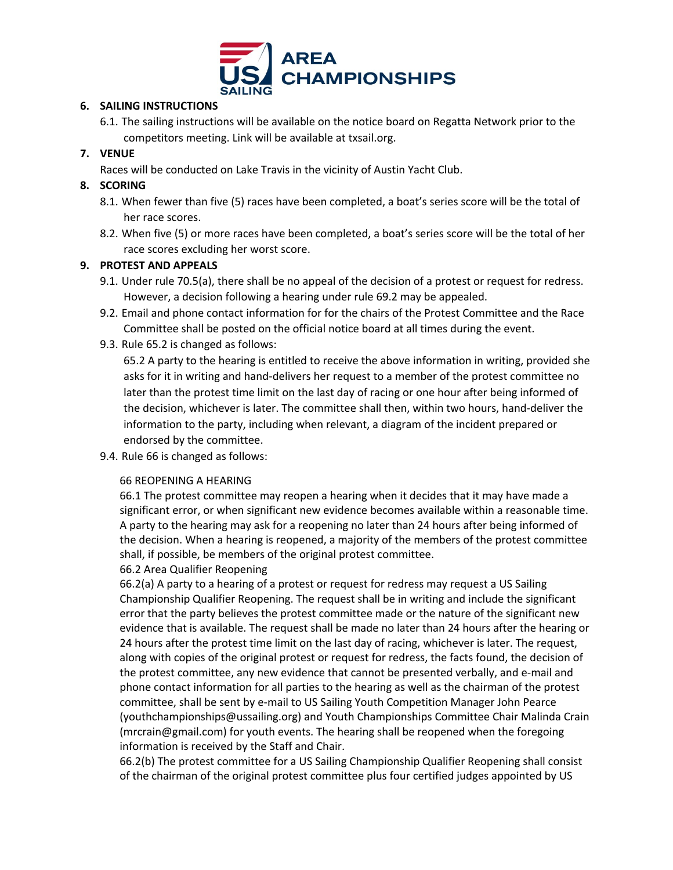

### **6. SAILING INSTRUCTIONS**

6.1. The sailing instructions will be available on the notice board on Regatta Network prior to the competitors meeting. Link will be available at txsail.org.

# **7. VENUE**

Races will be conducted on Lake Travis in the vicinity of Austin Yacht Club.

## **8. SCORING**

- 8.1. When fewer than five (5) races have been completed, a boat's series score will be the total of her race scores.
- 8.2. When five (5) or more races have been completed, a boat's series score will be the total of her race scores excluding her worst score.

## **9. PROTEST AND APPEALS**

- 9.1. Under rule 70.5(a), there shall be no appeal of the decision of a protest or request for redress. However, a decision following a hearing under rule 69.2 may be appealed.
- 9.2. Email and phone contact information for for the chairs of the Protest Committee and the Race Committee shall be posted on the official notice board at all times during the event.
- 9.3. Rule 65.2 is changed as follows:

65.2 A party to the hearing is entitled to receive the above information in writing, provided she asks for it in writing and hand-delivers her request to a member of the protest committee no later than the protest time limit on the last day of racing or one hour after being informed of the decision, whichever is later. The committee shall then, within two hours, hand-deliver the information to the party, including when relevant, a diagram of the incident prepared or endorsed by the committee.

9.4. Rule 66 is changed as follows:

#### 66 REOPENING A HEARING

66.1 The protest committee may reopen a hearing when it decides that it may have made a significant error, or when significant new evidence becomes available within a reasonable time. A party to the hearing may ask for a reopening no later than 24 hours after being informed of the decision. When a hearing is reopened, a majority of the members of the protest committee shall, if possible, be members of the original protest committee.

66.2 Area Qualifier Reopening

66.2(a) A party to a hearing of a protest or request for redress may request a US Sailing Championship Qualifier Reopening. The request shall be in writing and include the significant error that the party believes the protest committee made or the nature of the significant new evidence that is available. The request shall be made no later than 24 hours after the hearing or 24 hours after the protest time limit on the last day of racing, whichever is later. The request, along with copies of the original protest or request for redress, the facts found, the decision of the protest committee, any new evidence that cannot be presented verbally, and e-mail and phone contact information for all parties to the hearing as well as the chairman of the protest committee, shall be sent by e-mail to US Sailing Youth Competition Manager John Pearce (youthchampionships@ussailing.org) and Youth Championships Committee Chair Malinda Crain (mrcrain@gmail.com) for youth events. The hearing shall be reopened when the foregoing information is received by the Staff and Chair.

66.2(b) The protest committee for a US Sailing Championship Qualifier Reopening shall consist of the chairman of the original protest committee plus four certified judges appointed by US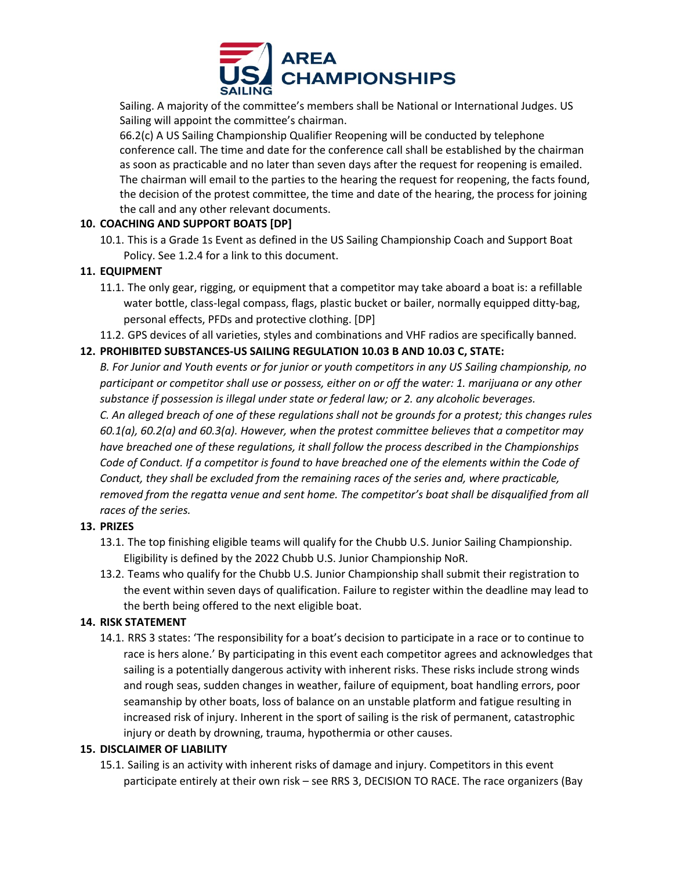

Sailing. A majority of the committee's members shall be National or International Judges. US Sailing will appoint the committee's chairman.

66.2(c) A US Sailing Championship Qualifier Reopening will be conducted by telephone conference call. The time and date for the conference call shall be established by the chairman as soon as practicable and no later than seven days after the request for reopening is emailed. The chairman will email to the parties to the hearing the request for reopening, the facts found, the decision of the protest committee, the time and date of the hearing, the process for joining the call and any other relevant documents.

## **10. COACHING AND SUPPORT BOATS [DP]**

10.1. This is a Grade 1s Event as defined in the US Sailing Championship Coach and Support Boat Policy. See 1.2.4 for a link to this document.

## **11. EQUIPMENT**

- 11.1. The only gear, rigging, or equipment that a competitor may take aboard a boat is: a refillable water bottle, class-legal compass, flags, plastic bucket or bailer, normally equipped ditty-bag, personal effects, PFDs and protective clothing. [DP]
- 11.2. GPS devices of all varieties, styles and combinations and VHF radios are specifically banned.

## **12. PROHIBITED SUBSTANCES-US SAILING REGULATION 10.03 B AND 10.03 C, STATE:**

*B. For Junior and Youth events or for junior or youth competitors in any US Sailing championship, no participant or competitor shall use or possess, either on or off the water: 1. marijuana or any other substance if possession is illegal under state or federal law; or 2. any alcoholic beverages. C. An alleged breach of one of these regulations shall not be grounds for a protest; this changes rules 60.1(a), 60.2(a) and 60.3(a). However, when the protest committee believes that a competitor may have breached one of these regulations, it shall follow the process described in the Championships Code of Conduct. If a competitor is found to have breached one of the elements within the Code of Conduct, they shall be excluded from the remaining races of the series and, where practicable, removed from the regatta venue and sent home. The competitor's boat shall be disqualified from all races of the series.*

#### **13. PRIZES**

- 13.1. The top finishing eligible teams will qualify for the Chubb U.S. Junior Sailing Championship. Eligibility is defined by the 2022 Chubb U.S. Junior Championship NoR.
- 13.2. Teams who qualify for the Chubb U.S. Junior Championship shall submit their registration to the event within seven days of qualification. Failure to register within the deadline may lead to the berth being offered to the next eligible boat.

#### **14. RISK STATEMENT**

14.1. RRS 3 states: 'The responsibility for a boat's decision to participate in a race or to continue to race is hers alone.' By participating in this event each competitor agrees and acknowledges that sailing is a potentially dangerous activity with inherent risks. These risks include strong winds and rough seas, sudden changes in weather, failure of equipment, boat handling errors, poor seamanship by other boats, loss of balance on an unstable platform and fatigue resulting in increased risk of injury. Inherent in the sport of sailing is the risk of permanent, catastrophic injury or death by drowning, trauma, hypothermia or other causes.

#### **15. DISCLAIMER OF LIABILITY**

15.1. Sailing is an activity with inherent risks of damage and injury. Competitors in this event participate entirely at their own risk – see RRS 3, DECISION TO RACE. The race organizers (Bay